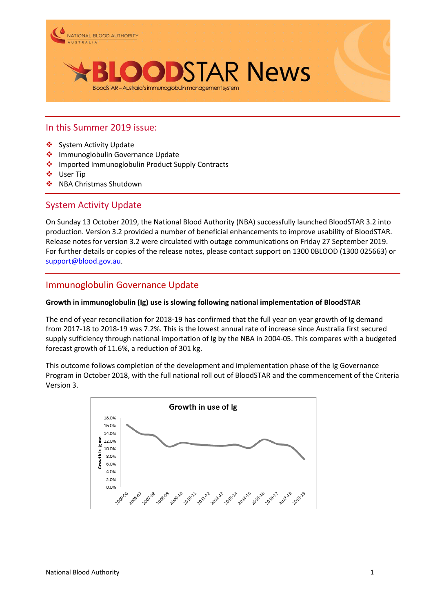

### In this Summer 2019 issue:

- ❖ System Activity Update
- $\div$  Immunoglobulin Governance Update
- ❖ Imported Immunoglobulin Product Supply Contracts
- User Tip
- ❖ NBA Christmas Shutdown

## System Activity Update

On Sunday 13 October 2019, the National Blood Authority (NBA) successfully launched BloodSTAR 3.2 into production. Version 3.2 provided a number of beneficial enhancements to improve usability of BloodSTAR. Release notes for version 3.2 were circulated with outage communications on Friday 27 September 2019. For further details or copies of the release notes, please contact support on 1300 0BLOOD (1300 025663) or [support@blood.gov.au.](mailto:support@blood.gov.au)

## Immunoglobulin Governance Update

#### **Growth in immunoglobulin (Ig) use is slowing following national implementation of BloodSTAR**

The end of year reconciliation for 2018-19 has confirmed that the full year on year growth of Ig demand from 2017-18 to 2018-19 was 7.2%. This is the lowest annual rate of increase since Australia first secured supply sufficiency through national importation of Ig by the NBA in 2004-05. This compares with a budgeted forecast growth of 11.6%, a reduction of 301 kg.

This outcome follows completion of the development and implementation phase of the Ig Governance Program in October 2018, with the full national roll out of BloodSTAR and the commencement of the Criteria Version 3.

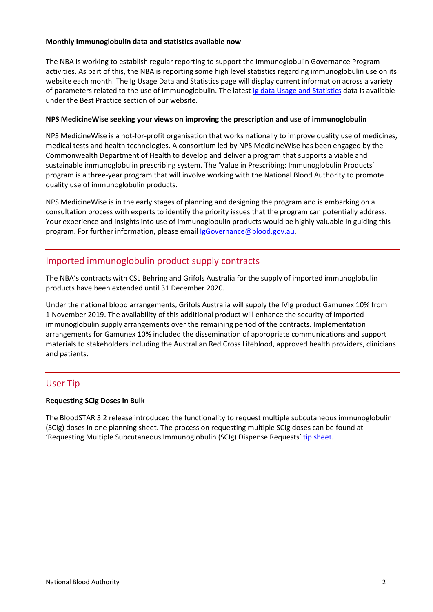#### **Monthly Immunoglobulin data and statistics available now**

The NBA is working to establish regular reporting to support the Immunoglobulin Governance Program activities. As part of this, the NBA is reporting some high level statistics regarding immunoglobulin use on its website each month. The Ig Usage Data and Statistics page will display current information across a variety of parameters related to the use of immunoglobulin. The latest Ig data Usage and [Statistics](https://www.blood.gov.au/ig-usage-data-and-statistics) data is available under the Best Practice section of our website.

#### **NPS MedicineWise seeking your views on improving the prescription and use of immunoglobulin**

NPS MedicineWise is a not-for-profit organisation that works nationally to improve quality use of medicines, medical tests and health technologies. A consortium led by NPS MedicineWise has been engaged by the Commonwealth Department of Health to develop and deliver a program that supports a viable and sustainable immunoglobulin prescribing system. The 'Value in Prescribing: Immunoglobulin Products' program is a three-year program that will involve working with the National Blood Authority to promote quality use of immunoglobulin products.

NPS MedicineWise is in the early stages of planning and designing the program and is embarking on a consultation process with experts to identify the priority issues that the program can potentially address. Your experience and insights into use of immunoglobulin products would be highly valuable in guiding this program. For further information, please email [IgGovernance@blood.gov.au.](mailto:IgGovernance@blood.gov.au)

# Imported immunoglobulin product supply contracts

The NBA's contracts with CSL Behring and Grifols Australia for the supply of imported immunoglobulin products have been extended until 31 December 2020.

Under the national blood arrangements, Grifols Australia will supply the IVIg product Gamunex 10% from 1 November 2019. The availability of this additional product will enhance the security of imported immunoglobulin supply arrangements over the remaining period of the contracts. Implementation arrangements for Gamunex 10% included the dissemination of appropriate communications and support materials to stakeholders including the Australian Red Cross Lifeblood, approved health providers, clinicians and patients.

## User Tip

### **Requesting SCIg Doses in Bulk**

The BloodSTAR 3.2 release introduced the functionality to request multiple subcutaneous immunoglobulin (SCIg) doses in one planning sheet. The process on requesting multiple SCIg doses can be found at 'Requesting Multiple Subcutaneous Immunoglobulin (SCIg) Dispense Requests' [tip sheet.](https://www.blood.gov.au/system/files/BloodSTAR-SCIg-Dose-Request-Tip-Sheet.pdf)